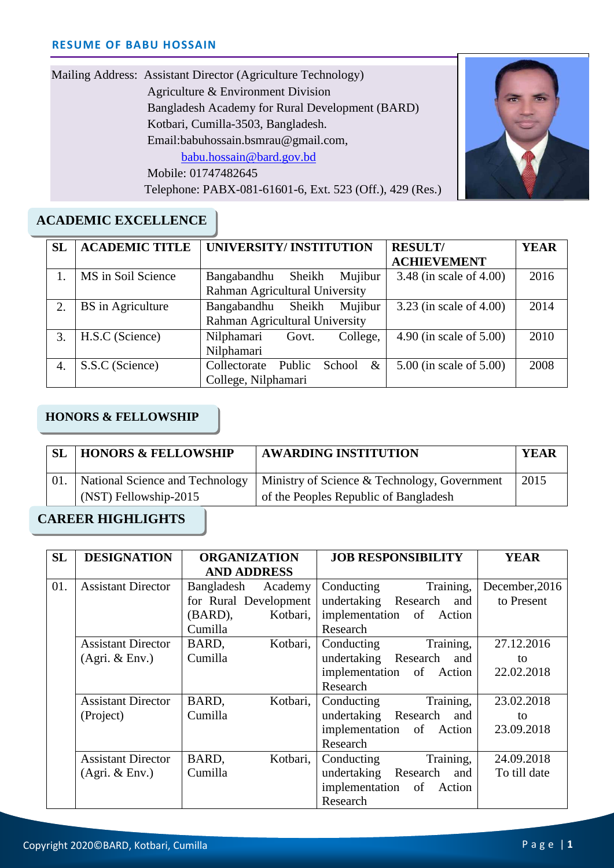| Mailing Address: Assistant Director (Agriculture Technology) |
|--------------------------------------------------------------|
| Agriculture & Environment Division                           |
| Bangladesh Academy for Rural Development (BARD)              |
| Kotbari, Cumilla-3503, Bangladesh.                           |
| Email:babuhossain.bsmrau@gmail.com,                          |
| babu.hossain@bard.gov.bd                                     |
| Mobile: 01747482645                                          |
| Telephone: PABX-081-61601-6, Ext. 523 (Off.), 429 (Res.)     |



## **ACADEMIC EXCELLENCE**

| <b>SL</b> | <b>ACADEMIC TITLE</b> | UNIVERSITY/INSTITUTION                   | <b>RESULT/</b>            | <b>YEAR</b> |
|-----------|-----------------------|------------------------------------------|---------------------------|-------------|
|           |                       |                                          | <b>ACHIEVEMENT</b>        |             |
|           | MS in Soil Science    | Bangabandhu<br>Sheikh<br>Mujibur         | 3.48 (in scale of 4.00)   | 2016        |
|           |                       | Rahman Agricultural University           |                           |             |
| 2.        | BS in Agriculture     | Sheikh<br>Mujibur<br>Bangabandhu         | $3.23$ (in scale of 4.00) | 2014        |
|           |                       | Rahman Agricultural University           |                           |             |
| 3.        | H.S.C (Science)       | Nilphamari<br>College,<br>Govt.          | 4.90 (in scale of 5.00)   | 2010        |
|           |                       | Nilphamari                               |                           |             |
| 4.        | S.S.C (Science)       | Public<br>$\&$<br>School<br>Collectorate | 5.00 (in scale of 5.00)   | 2008        |
|           |                       | College, Nilphamari                      |                           |             |

## **HONORS & FELLOWSHIP**

|                                 | SL | <b>HONORS &amp; FELLOWSHIP</b> | <b>AWARDING INSTITUTION</b>                  | <b>YEAR</b> |
|---------------------------------|----|--------------------------------|----------------------------------------------|-------------|
| National Science and Technology |    |                                | Ministry of Science & Technology, Government | 2015        |
| (NST) Fellowship-2015           |    |                                | of the Peoples Republic of Bangladesh        |             |

### **CAREER HIGHLIGHTS**

| <b>SL</b> | <b>DESIGNATION</b>        | <b>ORGANIZATION</b>   | <b>JOB RESPONSIBILITY</b> | <b>YEAR</b>    |
|-----------|---------------------------|-----------------------|---------------------------|----------------|
|           |                           | <b>AND ADDRESS</b>    |                           |                |
| 01.       | <b>Assistant Director</b> | Bangladesh<br>Academy | Training,<br>Conducting   | December, 2016 |
|           |                           | for Rural Development | undertaking Research and  | to Present     |
|           |                           | (BARD),<br>Kotbari,   | implementation of Action  |                |
|           |                           | Cumilla               | Research                  |                |
|           | <b>Assistant Director</b> | Kotbari,<br>BARD,     | Training,<br>Conducting   | 27.12.2016     |
|           | (Agri. & Env.)            | Cumilla               | undertaking Research and  | to             |
|           |                           |                       | implementation of Action  | 22.02.2018     |
|           |                           |                       | Research                  |                |
|           | <b>Assistant Director</b> | Kotbari,<br>BARD,     | Training,<br>Conducting   | 23.02.2018     |
|           | (Project)                 | Cumilla               | undertaking Research and  | to             |
|           |                           |                       | implementation of Action  | 23.09.2018     |
|           |                           |                       | Research                  |                |
|           | <b>Assistant Director</b> | Kotbari,<br>BARD,     | Training,<br>Conducting   | 24.09.2018     |
|           | (Agri. & Env.)            | Cumilla               | undertaking Research and  | To till date   |
|           |                           |                       | implementation of Action  |                |
|           |                           |                       | Research                  |                |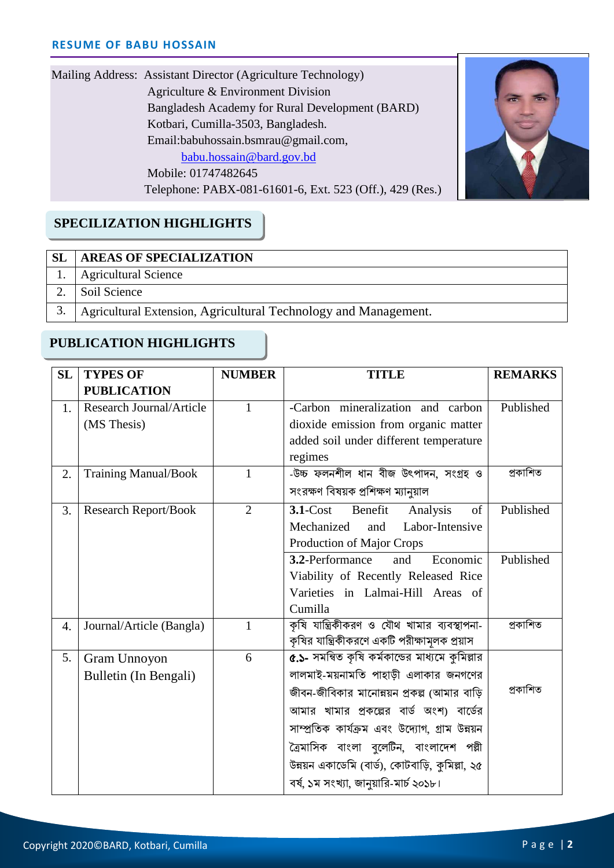| Mailing Address: Assistant Director (Agriculture Technology) |
|--------------------------------------------------------------|
| Agriculture & Environment Division                           |
| Bangladesh Academy for Rural Development (BARD)              |
| Kotbari, Cumilla-3503, Bangladesh.                           |
| Email:babuhossain.bsmrau@gmail.com,                          |
| babu.hossain@bard.gov.bd                                     |
| Mobile: 01747482645                                          |
| Telephone: PABX-081-61601-6, Ext. 523 (Off.), 429 (Res.)     |



# **SPECILIZATION HIGHLIGHTS**

### **SL AREAS OF SPECIALIZATION**

- 1. Agricultural Science
- $\overline{\phantom{a}}$ 2. Soil Science
- $\overline{\phantom{a}}$ 3. Agricultural Extension, Agricultural Technology and Management.

## **PUBLICATION HIGHLIGHTS**

| <b>SL</b> | <b>TYPES OF</b>                 | <b>NUMBER</b>  | <b>TITLE</b>                                    | <b>REMARKS</b> |
|-----------|---------------------------------|----------------|-------------------------------------------------|----------------|
|           | <b>PUBLICATION</b>              |                |                                                 |                |
| 1.        | <b>Research Journal/Article</b> | $\mathbf{1}$   | -Carbon mineralization and carbon               | Published      |
|           | (MS Thesis)                     |                | dioxide emission from organic matter            |                |
|           |                                 |                | added soil under different temperature          |                |
|           |                                 |                | regimes                                         |                |
| 2.        | <b>Training Manual/Book</b>     | 1              | -উচ্চ ফলনশীল ধান বীজ উৎপাদন, সংগ্ৰহ ও           | প্ৰকাশিত       |
|           |                                 |                | সংরক্ষণ বিষয়ক প্রশিক্ষণ ম্যানুয়াল             |                |
| 3.        | <b>Research Report/Book</b>     | $\overline{2}$ | 3.1-Cost Benefit<br>of<br>Analysis              | Published      |
|           |                                 |                | Mechanized<br>Labor-Intensive<br>and            |                |
|           |                                 |                | Production of Major Crops                       |                |
|           |                                 |                | 3.2-Performance<br>Economic<br>and              | Published      |
|           |                                 |                | Viability of Recently Released Rice             |                |
|           |                                 |                | Varieties in Lalmai-Hill Areas of               |                |
|           |                                 |                | Cumilla                                         |                |
| 4.        | Journal/Article (Bangla)        | $\mathbf{1}$   | কৃষি যান্ত্রিকীকরণ ও যৌথ খামার ব্যবস্থাপনা-     | প্ৰকাশিত       |
|           |                                 |                | কৃষির যান্ত্রিকীকরণে একটি পরীক্ষামূলক প্রয়াস   |                |
| 5.        | Gram Unnoyon                    | 6              | ৫.১- সমন্বিত কৃষি কর্মকান্ডের মাধ্যমে কুমিল্লার |                |
|           | Bulletin (In Bengali)           |                | লালমাই-ময়নামতি পাহাড়ী এলাকার জনগণের           |                |
|           |                                 |                | জীবন-জীবিকার মানোন্নয়ন প্রকল্প (আমার বাড়ি     | প্ৰকাশিত       |
|           |                                 |                | আমার খামার প্রকল্পের বার্ড অংশ) বার্ডের         |                |
|           |                                 |                | সাম্প্রতিক কার্যক্রম এবং উদ্যোগ, গ্রাম উন্নয়ন  |                |
|           |                                 |                | ত্রৈমাসিক বাংলা বুলেটিন, বাংলাদেশ পল্লী         |                |
|           |                                 |                | উন্নয়ন একাডেমি (বার্ড), কোটবাড়ি, কুমিল্লা, ২৫ |                |
|           |                                 |                | বর্ষ, ১ম সংখ্যা, জানুয়ারি-মার্চ ২০১৮।          |                |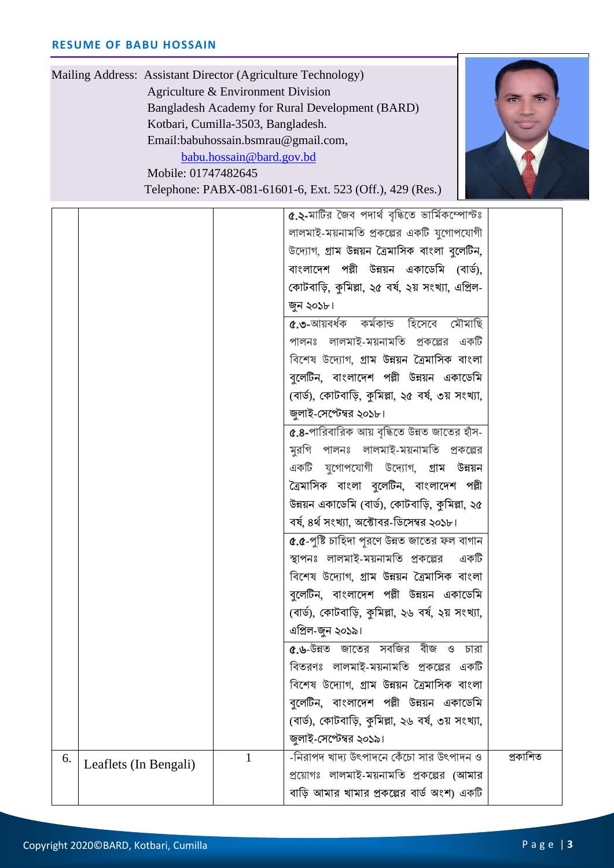

 Mailing Address: Assistant Director (Agriculture Technology) Agriculture & Environment Division Bangladesh Academy for Rural Development (BARD) Kotbari, Cumilla-3503, Bangladesh. Email:babuhossain.bsmrau@gmail.com, [babu.hossain@bard.gov.bd](mailto:babu.hossain@bard.gov.bd) Mobile: 01747482645 Telephone: PABX-081-61601-6, Ext. 523 (Off.), 429 (Res.)

Cell: Email: ৫.২-মাটির জৈব পদার্থ বৃদ্ধিতে ভার্মিকম্পোস্টঃ লালমাই-ময়নামবত প্রকণল্পর একটি যুণগাপণযাগী উণযাগ, গ্রাম উন্নয়ন ত্রৈমাবসক বাংলা বুণলটিন, বাংলাদেশ পল্লী উন্নয়ন একাডেমি (বার্ড). কোটবাড়ি, কুমিল্লা, ২৫ বৰ্ষ, ২য় সংখ্যা, এপ্রিল-জুন ২০১৮। ৫.৩-আয়বৰ্ধক কৰ্মকান্ড হিসেবে মৌমাছি পালনঃ লালমাই-ময়নামবত প্রকণল্পর একটি ববণশষ উণযাগ, গ্রাম উন্নয়ন ত্রৈমাবসক বাংলা বলেটিন, বাংলাদেশ পল্লী উন্নয়ন একাডেমি (বার্ড), কোটবাড়ি, কুমিল্লা, ২৫ বর্ষ, ৩য় সংখ্যা, জুলাই-যসণেম্বর ২০১৮। ৫.৪-পাবরবাবরক আয় বৃবিণত উন্নত জাণতর হাঁস-মুরবগ পালনঃ লালমাই-ময়নামবত প্রকণল্পর একটি যুণগাপণযাগী উণযাগ, গ্রাম উন্নয়ন ত্রৈমাসিক বাংলা বুলেটিন, বাংলাদেশ পল্লী উন্নয়ন একাডেমি (বার্ড), কোটবাড়ি, কমিল্লা, ২৫ বৰ্ষ, ৪ৰ্থ সংখ্যা, অক্টোবর-ডিসেম্বর ২০১৮। ৫.৫-পুবি র্াবহদা পূরণণ উন্নত জাণতর ফল বাগান স্থাপনঃ লালমাই-ময়নামবত প্রকণল্পর একটি ববণশষ উণযাগ, গ্রাম উন্নয়ন ত্রৈমাবসক বাংলা বলেটিন, বাংলাদেশ পল্লী উন্নয়ন একাডেমি (বার্ড), কোটবাড়ি, কমিল্লা, ২৬ বর্ষ, ২য় সংখ্যা, এবপ্রল-জুন ২০১৯। ৫.৬-উন্নত জাণতর সববজর বীজ ও র্ারা ববতরণঃ লালমাই-ময়নামবত প্রকণল্পর একটি ববণশষ উণযাগ, গ্রাম উন্নয়ন ত্রৈমাবসক বাংলা বলেটিন, বাংলাদেশ পল্লী উন্নয়ন একাডেমি (বার্ড), কোটবাড়ি, কুমিল্লা, ২৬ বর্ষ, ৩য় সংখ্যা, জুলাই-যসণেম্বর ২০১৯।  $\begin{array}{|c|c|c|c|}\hline \text{6.} & \text{Leaflets (In Bengali)} & & 1 & -\sqrt{3} \text{ and } \mathbb{R} \end{array}$  -নিরাপদ খাদ্য উৎপাদনে কেঁচো সার উৎপাদন ও প্রণয়াগঃ লালমাই-ময়নামবত প্রকণল্পর (আমার বাড়ি আমার খামার প্রকল্পের বার্ড অংশ) একটি প্রকাবশত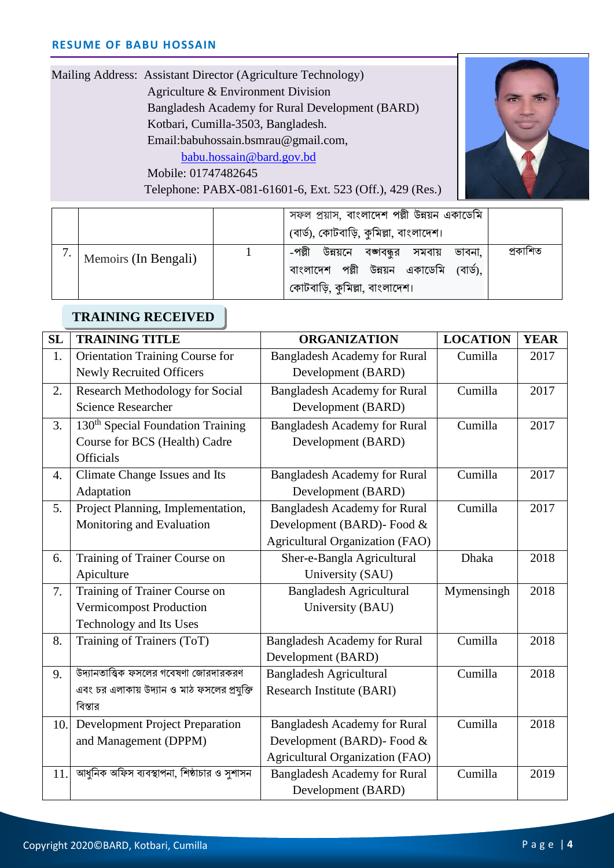| Mailing Address: Assistant Director (Agriculture Technology) |
|--------------------------------------------------------------|
| Agriculture & Environment Division                           |
| Bangladesh Academy for Rural Development (BARD)              |
| Kotbari, Cumilla-3503, Bangladesh.                           |
| Email:babuhossain.bsmrau@gmail.com,                          |
| babu.hossain@bard.gov.bd                                     |
| Mobile: 01747482645                                          |
| Telephone: PABX-081-61601-6, Ext. 523 (Off.), 429 (Res.)     |
|                                                              |

J



|                      | সফল প্রয়াস, বাংলাদেশ পল্লী উন্নয়ন একাডেমি<br>(বার্ড), কোটবাড়ি, কুমিল্লা, বাংলাদেশ।                                       |          |
|----------------------|-----------------------------------------------------------------------------------------------------------------------------|----------|
| Memoirs (In Bengali) | -পল্লী<br>উন্নয়নে বজ্ঞাবন্ধুর সমবায় ভাবনা,<br>বাংলাদেশ পল্লী উন্নয়ন একাডেমি<br>(বাৰ্ড).<br>কোটবাড়ি, কুমিল্লা, বাংলাদেশ। | প্ৰকাশিত |

# **TRAINING RECEIVED**

| SL  | <b>TRAINING TITLE</b>                         | <b>ORGANIZATION</b>                    | <b>LOCATION</b> | <b>YEAR</b> |
|-----|-----------------------------------------------|----------------------------------------|-----------------|-------------|
| 1.  | Orientation Training Course for               | <b>Bangladesh Academy for Rural</b>    | Cumilla         | 2017        |
|     | <b>Newly Recruited Officers</b>               | Development (BARD)                     |                 |             |
| 2.  | <b>Research Methodology for Social</b>        | <b>Bangladesh Academy for Rural</b>    | Cumilla         | 2017        |
|     | <b>Science Researcher</b>                     | Development (BARD)                     |                 |             |
| 3.  | 130 <sup>th</sup> Special Foundation Training | <b>Bangladesh Academy for Rural</b>    | Cumilla         | 2017        |
|     | Course for BCS (Health) Cadre                 | Development (BARD)                     |                 |             |
|     | Officials                                     |                                        |                 |             |
| 4.  | Climate Change Issues and Its                 | <b>Bangladesh Academy for Rural</b>    | Cumilla         | 2017        |
|     | Adaptation                                    | Development (BARD)                     |                 |             |
| 5.  | Project Planning, Implementation,             | <b>Bangladesh Academy for Rural</b>    | Cumilla         | 2017        |
|     | Monitoring and Evaluation                     | Development (BARD)- Food &             |                 |             |
|     |                                               | <b>Agricultural Organization (FAO)</b> |                 |             |
| 6.  | Training of Trainer Course on                 | Sher-e-Bangla Agricultural             | Dhaka           | 2018        |
|     | Apiculture                                    | University (SAU)                       |                 |             |
| 7.  | Training of Trainer Course on                 | <b>Bangladesh Agricultural</b>         | Mymensingh      | 2018        |
|     | Vermicompost Production                       | University (BAU)                       |                 |             |
|     | Technology and Its Uses                       |                                        |                 |             |
| 8.  | Training of Trainers (ToT)                    | <b>Bangladesh Academy for Rural</b>    | Cumilla         | 2018        |
|     |                                               | Development (BARD)                     |                 |             |
| 9.  | উদ্যানতাত্ত্বিক ফসলের গবেষণা জোরদারকরণ        | <b>Bangladesh Agricultural</b>         | Cumilla         | 2018        |
|     | এবং চর এলাকায় উদ্যান ও মাঠ ফসলের প্রযুক্তি   | Research Institute (BARI)              |                 |             |
|     | বিস্তার                                       |                                        |                 |             |
| 10. | <b>Development Project Preparation</b>        | <b>Bangladesh Academy for Rural</b>    | Cumilla         | 2018        |
|     | and Management (DPPM)                         | Development (BARD)- Food &             |                 |             |
|     |                                               | <b>Agricultural Organization (FAO)</b> |                 |             |
| 11. | আধুনিক অফিস ব্যবস্থাপনা, শিষ্ঠাচার ও সুশাসন   | <b>Bangladesh Academy for Rural</b>    | Cumilla         | 2019        |
|     |                                               | Development (BARD)                     |                 |             |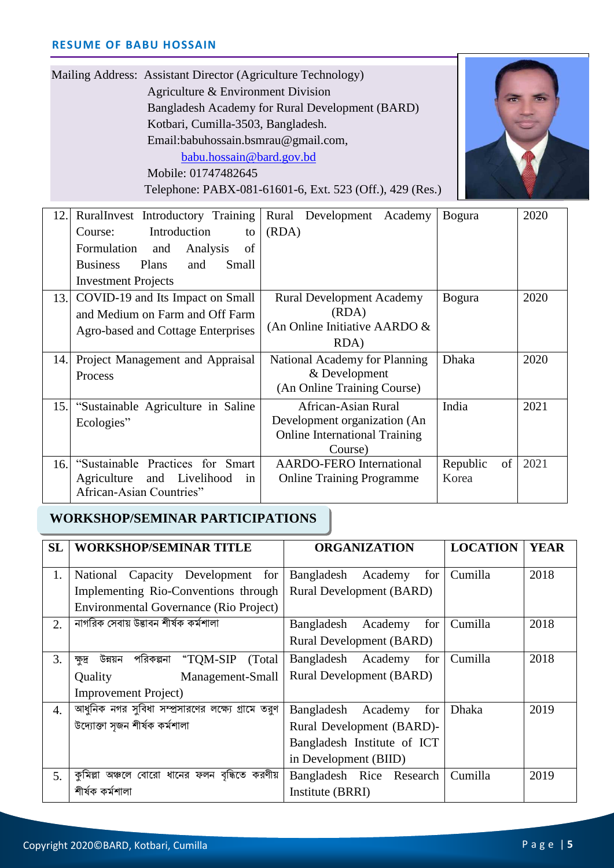| Mailing Address: Assistant Director (Agriculture Technology)<br>Agriculture & Environment Division<br>Bangladesh Academy for Rural Development (BARD)<br>Kotbari, Cumilla-3503, Bangladesh.<br>Email:babuhossain.bsmrau@gmail.com,<br>babu.hossain@bard.gov.bd<br>Mobile: 01747482645<br>Telephone: PABX-081-61601-6, Ext. 523 (Off.), 429 (Res.) |                                                                                                                                                                                      |                                                                                                               |                         |      |
|---------------------------------------------------------------------------------------------------------------------------------------------------------------------------------------------------------------------------------------------------------------------------------------------------------------------------------------------------|--------------------------------------------------------------------------------------------------------------------------------------------------------------------------------------|---------------------------------------------------------------------------------------------------------------|-------------------------|------|
| 12.1                                                                                                                                                                                                                                                                                                                                              | RuralInvest Introductory Training<br>Introduction<br>Course:<br>to<br>of<br>Formulation<br>and<br>Analysis<br>Plans<br><b>Business</b><br>and<br>Small<br><b>Investment Projects</b> | Rural Development Academy<br>(RDA)                                                                            | <b>Bogura</b>           | 2020 |
|                                                                                                                                                                                                                                                                                                                                                   | 13. COVID-19 and Its Impact on Small<br>and Medium on Farm and Off Farm<br>Agro-based and Cottage Enterprises                                                                        | <b>Rural Development Academy</b><br>(RDA)<br>(An Online Initiative AARDO &<br>RDA)                            | <b>Bogura</b>           | 2020 |
|                                                                                                                                                                                                                                                                                                                                                   | 14. Project Management and Appraisal<br>Process                                                                                                                                      | National Academy for Planning<br>& Development<br>(An Online Training Course)                                 | Dhaka                   | 2020 |
| 15.1                                                                                                                                                                                                                                                                                                                                              | "Sustainable Agriculture in Saline<br>Ecologies"                                                                                                                                     | <b>African-Asian Rural</b><br>Development organization (An<br><b>Online International Training</b><br>Course) | India                   | 2021 |
| 16.                                                                                                                                                                                                                                                                                                                                               | "Sustainable Practices for Smart<br>Agriculture<br>and Livelihood<br>in<br>African-Asian Countries"                                                                                  | <b>AARDO-FERO International</b><br><b>Online Training Programme</b>                                           | Republic<br>of<br>Korea | 2021 |

×

### **WORKSHOP/SEMINAR PARTICIPATIONS**

| <b>SL</b> | <b>WORKSHOP/SEMINAR TITLE</b>                      | <b>ORGANIZATION</b>             | <b>LOCATION</b> | <b>YEAR</b> |
|-----------|----------------------------------------------------|---------------------------------|-----------------|-------------|
|           |                                                    |                                 |                 |             |
| 1.        | National Capacity Development for                  | Bangladesh<br>Academy<br>for    | Cumilla         | 2018        |
|           | Implementing Rio-Conventions through               | <b>Rural Development (BARD)</b> |                 |             |
|           | Environmental Governance (Rio Project)             |                                 |                 |             |
| 2.        | নাগরিক সেবায় উদ্ভাবন শীর্ষক কর্মশালা              | Bangladesh Academy<br>for       | Cumilla         | 2018        |
|           |                                                    | <b>Rural Development (BARD)</b> |                 |             |
| 3.        | পরিকল্পনা "TOM-SIP<br>(Total)<br>উন্নয়ন<br>ক্ষদ্র | Bangladesh Academy<br>for       | Cumilla         | 2018        |
|           | Management-Small<br>Quality                        | <b>Rural Development (BARD)</b> |                 |             |
|           | <b>Improvement Project</b> )                       |                                 |                 |             |
| 4.        | আধুনিক নগর সুবিধা সম্প্রসারণের লক্ষ্যে গ্রামে তরুণ | Bangladesh Academy<br>for       | Dhaka           | 2019        |
|           | উদ্যোক্তা সজন শীৰ্ষক কৰ্মশালা                      | Rural Development (BARD)-       |                 |             |
|           |                                                    | Bangladesh Institute of ICT     |                 |             |
|           |                                                    | in Development (BIID)           |                 |             |
| 5.        | কুমিল্লা অঞ্চলে বোরো ধানের ফলন বৃদ্ধিতে করণীয়     | Bangladesh Rice Research        | Cumilla         | 2019        |
|           | শীৰ্ষক কৰ্মশালা                                    | Institute (BRRI)                |                 |             |